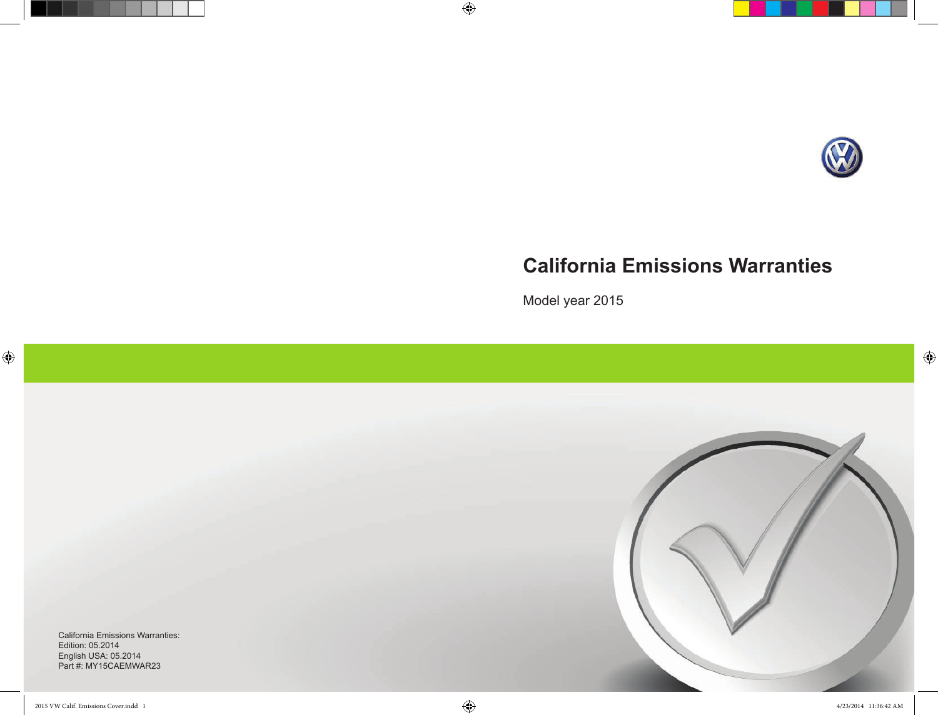

 $\bigoplus$ 

# **California Emissions Warranties**

Model year 2015

 $\bigoplus$ 



California Emissions Warranties: Edition: 05.2014 English USA: 05.2014 Part #: MY15CAEMWAR23

 $\bigoplus$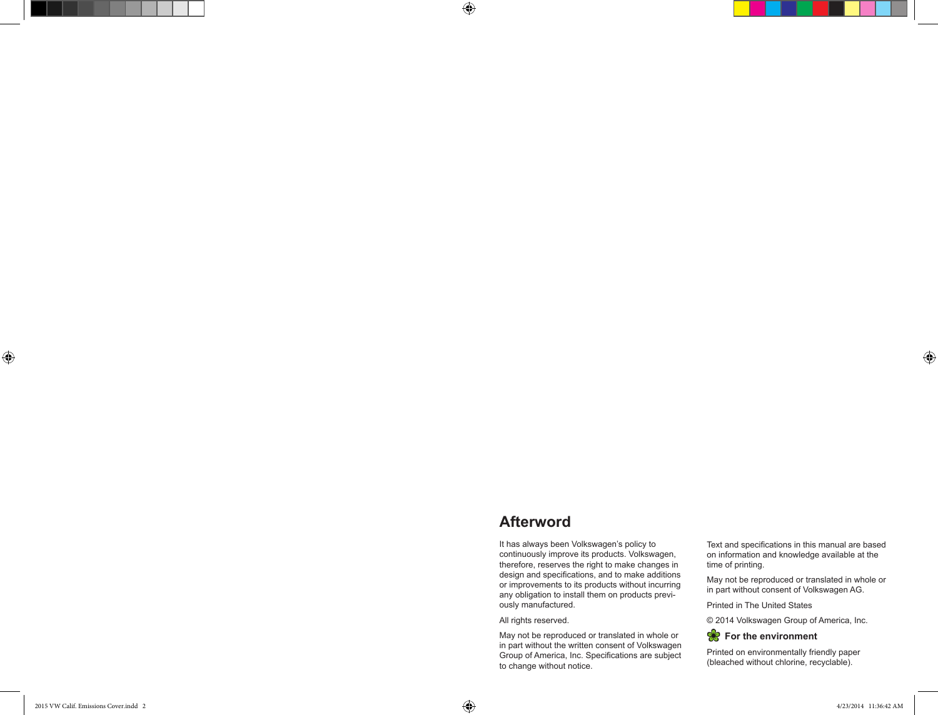# **Afterword**

It has always been Volkswagen's policy to continuously improve its products. Volkswagen, therefore, reserves the right to make changes in design and specifications, and to make additions or improvements to its products without incurring any obligation to install them on products previ ously manufactured.

All rights reserved.

May not be reproduced or translated in whole or in part without the written consent of Volkswagen Group of America, Inc. Specifications are subject to change without notice.

Text and specifications in this manual are based on information and knowledge available at the time of printing.

May not be reproduced or translated in whole or in part without consent of Volkswagen AG.

Printed in The United States

© 2014 Volkswagen Group of America, Inc.



Printed on environmentally friendly paper (bleached without chlorine, recyclable).

 $\bigoplus$ 

 $\bigoplus$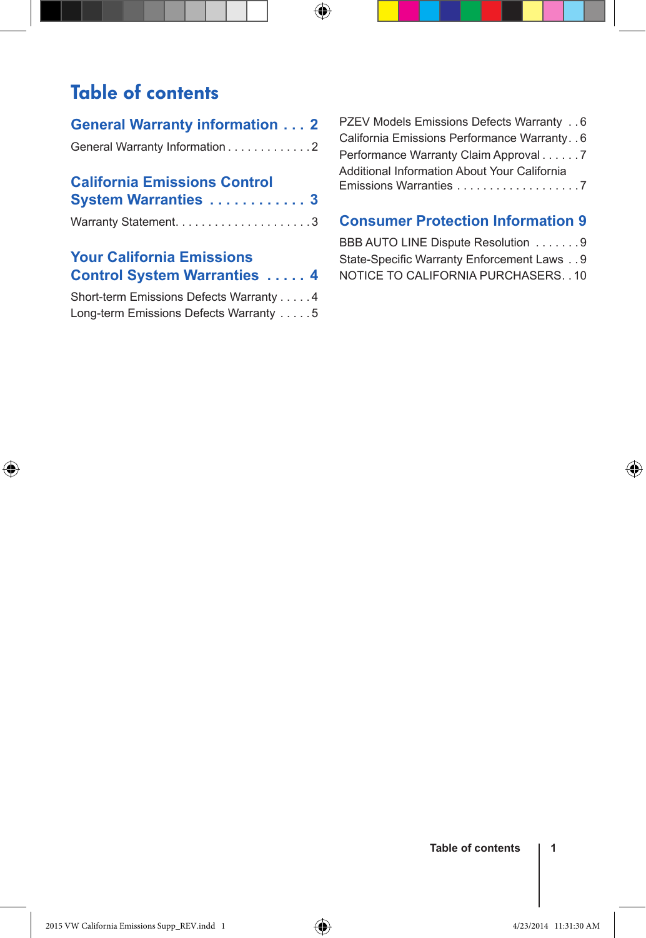# Table of contents

 $\bigoplus$ 

| <b>General Warranty information  2</b> |  |
|----------------------------------------|--|
| General Warranty Information 2         |  |
|                                        |  |

 $\bigoplus$ 

| <b>California Emissions Control</b> |  |
|-------------------------------------|--|
| System Warranties  3                |  |

### **Your California Emissions Control System Warranties . . . . . 4**

| Short-term Emissions Defects Warranty 4 |  |  |
|-----------------------------------------|--|--|
| Long-term Emissions Defects Warranty 5  |  |  |

| PZEV Models Emissions Defects Warranty 6       |  |
|------------------------------------------------|--|
| California Emissions Performance Warranty. . 6 |  |
| Performance Warranty Claim Approval 7          |  |
| Additional Information About Your California   |  |
|                                                |  |

# **Consumer Protection Information 9**

| BBB AUTO LINE Dispute Resolution 9         |
|--------------------------------------------|
| State-Specific Warranty Enforcement Laws 9 |
| NOTICE TO CALIFORNIA PURCHASERS. . 10      |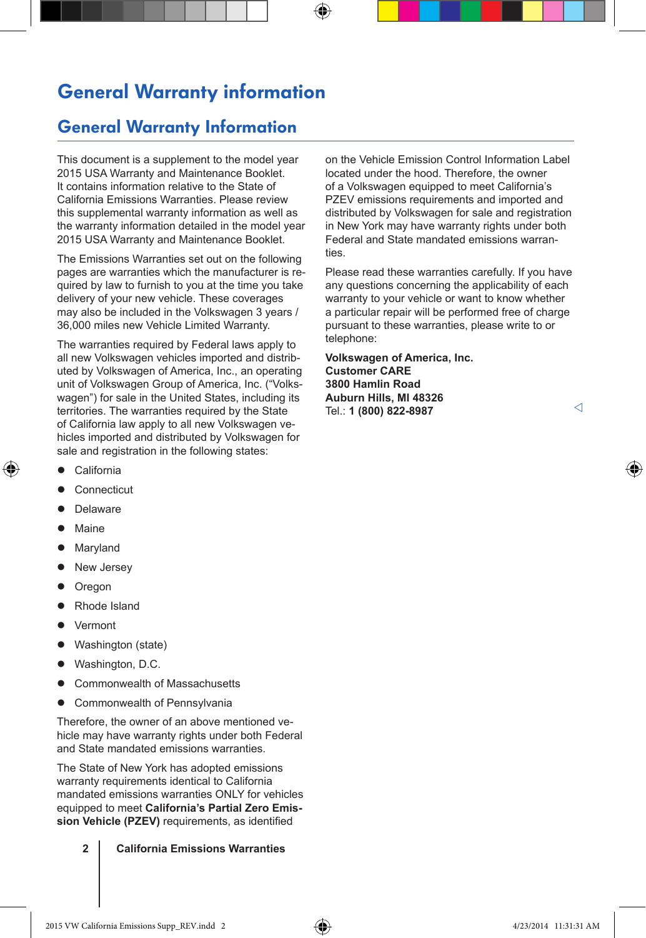# General Warranty information

⊕

### General Warranty Information

This document is a supplement to the model year 2015 USA Warranty and Maintenance Booklet. It contains information relative to the State of California Emissions Warranties. Please review this supplemental warranty information as well as the warranty information detailed in the model year 2015 USA Warranty and Maintenance Booklet.

The Emissions Warranties set out on the following pages are warranties which the manufacturer is required by law to furnish to you at the time you take delivery of your new vehicle. These coverages may also be included in the Volkswagen 3 years / 36,000 miles new Vehicle Limited Warranty.

The warranties required by Federal laws apply to all new Volkswagen vehicles imported and distributed by Volkswagen of America, Inc., an operating unit of Volkswagen Group of America, Inc. ("Volkswagen") for sale in the United States, including its territories. The warranties required by the State of California law apply to all new Volkswagen vehicles imported and distributed by Volkswagen for sale and registration in the following states:

California

↔

- Connecticut
- Delaware
- Maine
- Maryland
- New Jersey
- **Oregon**
- Rhode Island
- Vermont
- Washington (state)
- Washington, D.C.
- Commonwealth of Massachusetts
- Commonwealth of Pennsylvania

Therefore, the owner of an above mentioned vehicle may have warranty rights under both Federal and State mandated emissions warranties.

The State of New York has adopted emissions warranty requirements identical to California mandated emissions warranties ONLY for vehicles equipped to meet **California's Partial Zero Emission Vehicle (PZEV)** requirements, as identified

**2 California Emissions Warranties**

on the Vehicle Emission Control Information Label located under the hood. Therefore, the owner of a Volkswagen equipped to meet California's PZEV emissions requirements and imported and distributed by Volkswagen for sale and registration in New York may have warranty rights under both Federal and State mandated emissions warranties.

Please read these warranties carefully. If you have any questions concerning the applicability of each warranty to your vehicle or want to know whether a particular repair will be performed free of charge pursuant to these warranties, please write to or telephone:

**Volkswagen of America, Inc. Customer CARE 3800 Hamlin Road Auburn Hills, MI 48326** Tel.: **1 (800) 822-8987**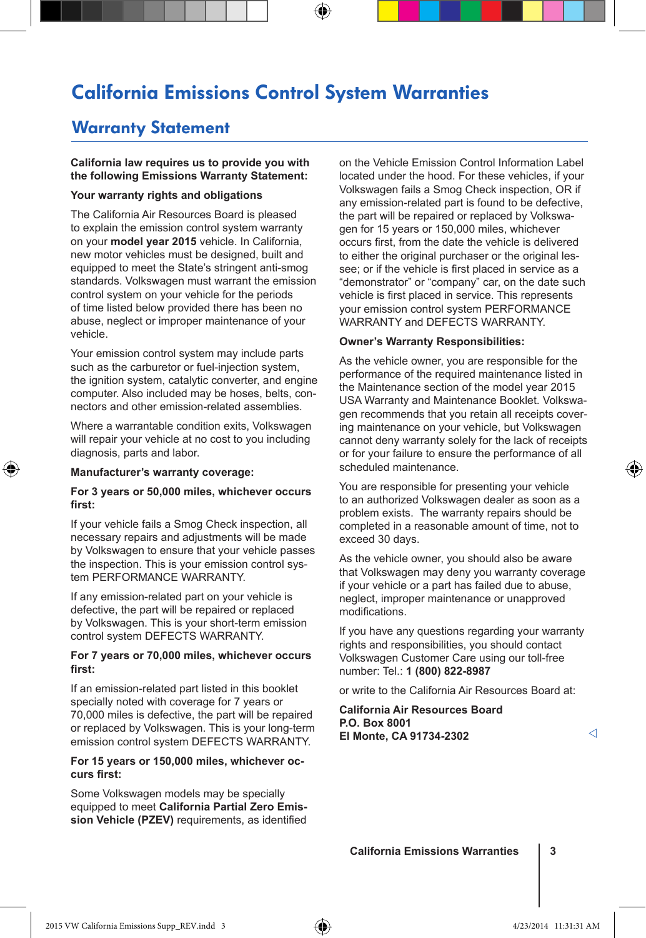# California Emissions Control System Warranties

### Warranty Statement

**California law requires us to provide you with the following Emissions Warranty Statement:**

### **Your warranty rights and obligations**

The California Air Resources Board is pleased to explain the emission control system warranty on your **model year 2015** vehicle. In California, new motor vehicles must be designed, built and equipped to meet the State's stringent anti-smog standards. Volkswagen must warrant the emission control system on your vehicle for the periods of time listed below provided there has been no abuse, neglect or improper maintenance of your vehicle.

Your emission control system may include parts such as the carburetor or fuel-injection system, the ignition system, catalytic converter, and engine computer. Also included may be hoses, belts, connectors and other emission-related assemblies.

Where a warrantable condition exits, Volkswagen will repair your vehicle at no cost to you including diagnosis, parts and labor.

### **Manufacturer's warranty coverage:**

⊕

#### **For 3 years or 50,000 miles, whichever occurs first:**

If your vehicle fails a Smog Check inspection, all necessary repairs and adjustments will be made by Volkswagen to ensure that your vehicle passes the inspection. This is your emission control system PERFORMANCE WARRANTY.

If any emission-related part on your vehicle is defective, the part will be repaired or replaced by Volkswagen. This is your short-term emission control system DEFECTS WARRANTY.

### **For 7 years or 70,000 miles, whichever occurs first:**

If an emission-related part listed in this booklet specially noted with coverage for 7 years or 70,000 miles is defective, the part will be repaired or replaced by Volkswagen. This is your long-term emission control system DEFECTS WARRANTY.

### **For 15 years or 150,000 miles, whichever occurs first:**

Some Volkswagen models may be specially equipped to meet **California Partial Zero Emission Vehicle (PZEV)** requirements, as identified

on the Vehicle Emission Control Information Label located under the hood. For these vehicles, if your Volkswagen fails a Smog Check inspection, OR if any emission-related part is found to be defective, the part will be repaired or replaced by Volkswagen for 15 years or 150,000 miles, whichever occurs first, from the date the vehicle is delivered to either the original purchaser or the original lessee; or if the vehicle is first placed in service as a "demonstrator" or "company" car, on the date such vehicle is first placed in service. This represents your emission control system PERFORMANCE WARRANTY and DEFECTS WARRANTY.

#### **Owner's Warranty Responsibilities:**

As the vehicle owner, you are responsible for the performance of the required maintenance listed in the Maintenance section of the model year 2015 USA Warranty and Maintenance Booklet. Volkswagen recommends that you retain all receipts covering maintenance on your vehicle, but Volkswagen cannot deny warranty solely for the lack of receipts or for your failure to ensure the performance of all scheduled maintenance.

You are responsible for presenting your vehicle to an authorized Volkswagen dealer as soon as a problem exists. The warranty repairs should be completed in a reasonable amount of time, not to exceed 30 days.

As the vehicle owner, you should also be aware that Volkswagen may deny you warranty coverage if your vehicle or a part has failed due to abuse, neglect, improper maintenance or unapproved modifications.

If you have any questions regarding your warranty rights and responsibilities, you should contact Volkswagen Customer Care using our toll-free number: Tel.: **1 (800) 822-8987**

or write to the California Air Resources Board at:

**California Air Resources Board P.O. Box 8001 El Monte, CA 91734-2302**

◁

**California Emissions Warranties 3**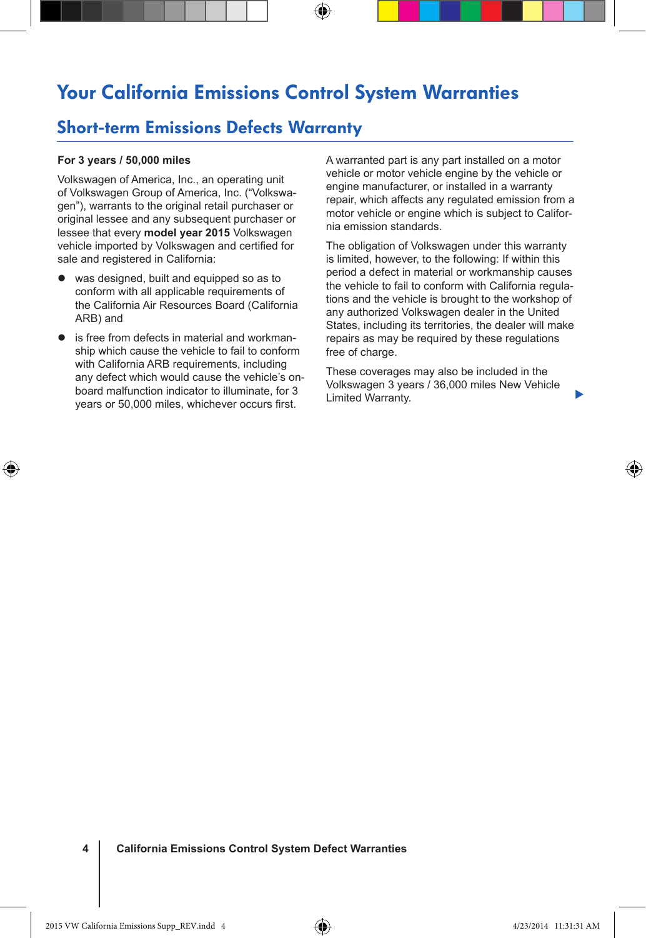# Your California Emissions Control System Warranties

⊕

### Short-term Emissions Defects Warranty

### **For 3 years / 50,000 miles**

⊕

Volkswagen of America, Inc., an operating unit of Volkswagen Group of America, Inc. ("Volkswagen"), warrants to the original retail purchaser or original lessee and any subsequent purchaser or lessee that every **model year 2015** Volkswagen vehicle imported by Volkswagen and certified for sale and registered in California:

- was designed, built and equipped so as to conform with all applicable requirements of the California Air Resources Board (California ARB) and
- $\bullet$  is free from defects in material and workmanship which cause the vehicle to fail to conform with California ARB requirements, including any defect which would cause the vehicle's onboard malfunction indicator to illuminate, for 3 years or 50,000 miles, whichever occurs first.

A warranted part is any part installed on a motor vehicle or motor vehicle engine by the vehicle or engine manufacturer, or installed in a warranty repair, which affects any regulated emission from a motor vehicle or engine which is subject to California emission standards.

The obligation of Volkswagen under this warranty is limited, however, to the following: If within this period a defect in material or workmanship causes the vehicle to fail to conform with California regulations and the vehicle is brought to the workshop of any authorized Volkswagen dealer in the United States, including its territories, the dealer will make repairs as may be required by these regulations free of charge.

These coverages may also be included in the Volkswagen 3 years / 36,000 miles New Vehicle Limited Warranty.

▶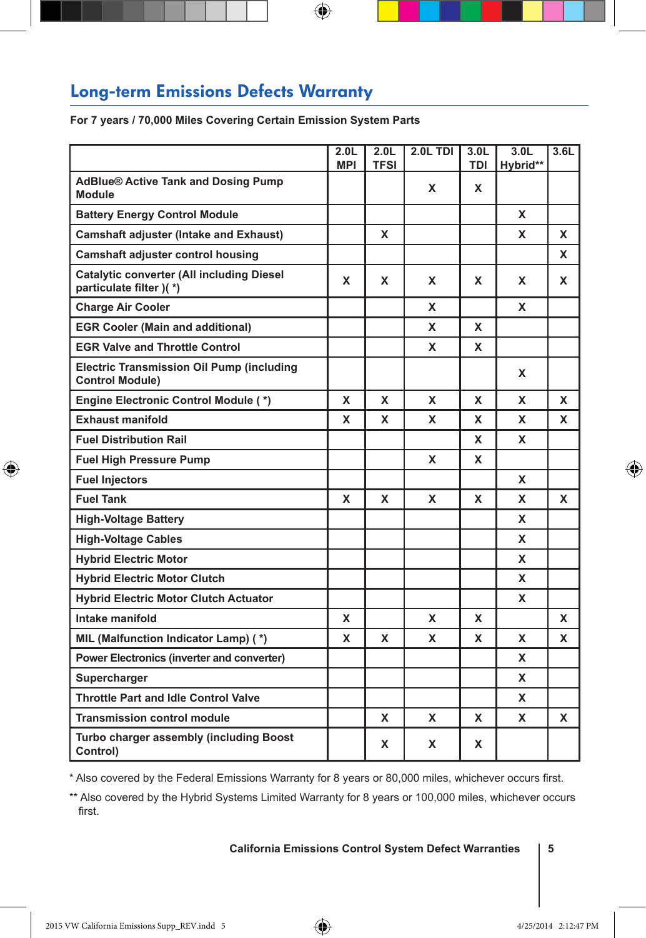# Long-term Emissions Defects Warranty

**For 7 years / 70,000 Miles Covering Certain Emission System Parts**

|                                                                             | 2.0 <sub>L</sub><br><b>MPI</b> | 2.0 <sub>L</sub><br><b>TFSI</b> | 2.0L TDI | 3.0 <sub>L</sub><br><b>TDI</b> | 3.0 <sub>L</sub><br>Hybrid** | 3.6L |
|-----------------------------------------------------------------------------|--------------------------------|---------------------------------|----------|--------------------------------|------------------------------|------|
| <b>AdBlue® Active Tank and Dosing Pump</b><br>Module                        |                                |                                 | x        | X                              |                              |      |
| <b>Battery Energy Control Module</b>                                        |                                |                                 |          |                                | X                            |      |
| <b>Camshaft adjuster (Intake and Exhaust)</b>                               |                                | x                               |          |                                | x                            | x    |
| <b>Camshaft adjuster control housing</b>                                    |                                |                                 |          |                                |                              | X    |
| <b>Catalytic converter (All including Diesel</b><br>particulate filter )(*) | X                              | x                               | X        | X                              | X                            | X    |
| <b>Charge Air Cooler</b>                                                    |                                |                                 | x        |                                | x                            |      |
| <b>EGR Cooler (Main and additional)</b>                                     |                                |                                 | x        | X                              |                              |      |
| <b>EGR Valve and Throttle Control</b>                                       |                                |                                 | x        | X                              |                              |      |
| <b>Electric Transmission Oil Pump (including</b><br><b>Control Module)</b>  |                                |                                 |          |                                | x                            |      |
| Engine Electronic Control Module (*)                                        | x                              | X                               | X        | X                              | X                            | X    |
| <b>Exhaust manifold</b>                                                     | x                              | X                               | x        | x                              | x                            | x    |
| <b>Fuel Distribution Rail</b>                                               |                                |                                 |          | x                              | X                            |      |
| <b>Fuel High Pressure Pump</b>                                              |                                |                                 | x        | x                              |                              |      |
| <b>Fuel Injectors</b>                                                       |                                |                                 |          |                                | x                            |      |
| <b>Fuel Tank</b>                                                            | x                              | X                               | X        | X                              | X                            | X    |
| <b>High-Voltage Battery</b>                                                 |                                |                                 |          |                                | x                            |      |
| <b>High-Voltage Cables</b>                                                  |                                |                                 |          |                                | x                            |      |
| <b>Hybrid Electric Motor</b>                                                |                                |                                 |          |                                | X                            |      |
| <b>Hybrid Electric Motor Clutch</b>                                         |                                |                                 |          |                                | x                            |      |
| <b>Hybrid Electric Motor Clutch Actuator</b>                                |                                |                                 |          |                                | X                            |      |
| Intake manifold                                                             | x                              |                                 | x        | X                              |                              | x    |
| MIL (Malfunction Indicator Lamp) (*)                                        | x                              | x                               | x        | X                              | X                            | X    |
| Power Electronics (inverter and converter)                                  |                                |                                 |          |                                | x                            |      |
| Supercharger                                                                |                                |                                 |          |                                | x                            |      |
| <b>Throttle Part and Idle Control Valve</b>                                 |                                |                                 |          |                                | X                            |      |
| <b>Transmission control module</b>                                          |                                | x                               | X        | x                              | X                            | X    |
| Turbo charger assembly (including Boost<br>Control)                         |                                | x                               | x        | x                              |                              |      |

 $\bigoplus$ 

\* Also covered by the Federal Emissions Warranty for 8 years or 80,000 miles, whichever occurs first.

\*\* Also covered by the Hybrid Systems Limited Warranty for 8 years or 100,000 miles, whichever occurs first.

### **California Emissions Control System Defect Warranties 5**

⊕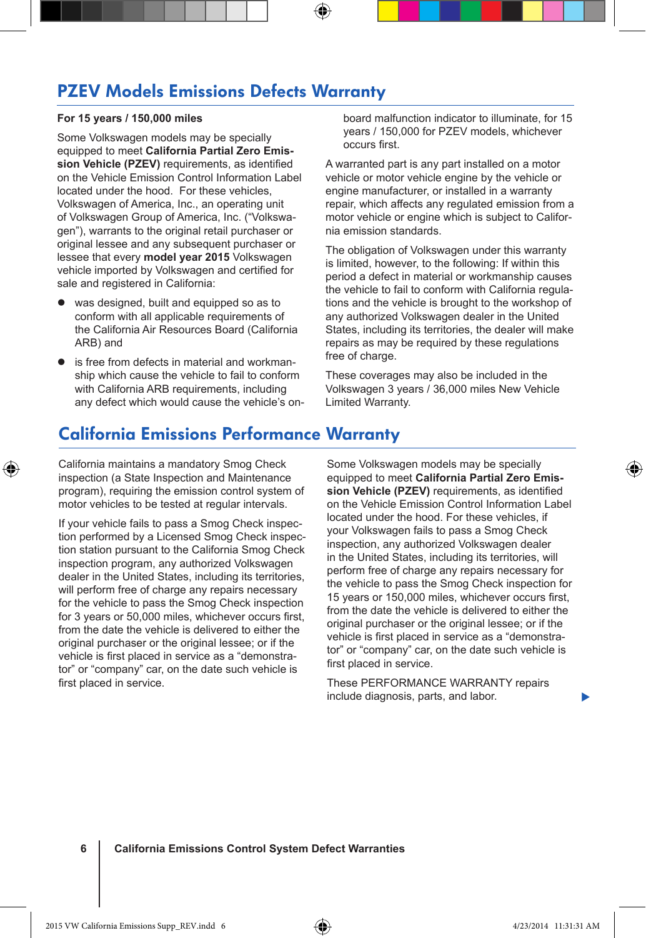### PZEV Models Emissions Defects Warranty

### **For 15 years / 150,000 miles**

Some Volkswagen models may be specially equipped to meet **California Partial Zero Emission Vehicle (PZEV)** requirements, as identified on the Vehicle Emission Control Information Label located under the hood. For these vehicles, Volkswagen of America, Inc., an operating unit of Volkswagen Group of America, Inc. ("Volkswagen"), warrants to the original retail purchaser or original lessee and any subsequent purchaser or lessee that every **model year 2015** Volkswagen vehicle imported by Volkswagen and certified for sale and registered in California:

- was designed, built and equipped so as to conform with all applicable requirements of the California Air Resources Board (California ARB) and
- is free from defects in material and workmanship which cause the vehicle to fail to conform with California ARB requirements, including any defect which would cause the vehicle's on-

board malfunction indicator to illuminate, for 15 years / 150,000 for PZEV models, whichever occurs first.

A warranted part is any part installed on a motor vehicle or motor vehicle engine by the vehicle or engine manufacturer, or installed in a warranty repair, which affects any regulated emission from a motor vehicle or engine which is subject to California emission standards.

The obligation of Volkswagen under this warranty is limited, however, to the following: If within this period a defect in material or workmanship causes the vehicle to fail to conform with California regulations and the vehicle is brought to the workshop of any authorized Volkswagen dealer in the United States, including its territories, the dealer will make repairs as may be required by these regulations free of charge.

These coverages may also be included in the Volkswagen 3 years / 36,000 miles New Vehicle Limited Warranty.

### California Emissions Performance Warranty

California maintains a mandatory Smog Check inspection (a State Inspection and Maintenance program), requiring the emission control system of motor vehicles to be tested at regular intervals.

⊕

If your vehicle fails to pass a Smog Check inspection performed by a Licensed Smog Check inspection station pursuant to the California Smog Check inspection program, any authorized Volkswagen dealer in the United States, including its territories, will perform free of charge any repairs necessary for the vehicle to pass the Smog Check inspection for 3 years or 50,000 miles, whichever occurs first, from the date the vehicle is delivered to either the original purchaser or the original lessee; or if the vehicle is first placed in service as a "demonstrator" or "company" car, on the date such vehicle is first placed in service.

Some Volkswagen models may be specially equipped to meet **California Partial Zero Emission Vehicle (PZEV)** requirements, as identified on the Vehicle Emission Control Information Label located under the hood. For these vehicles, if your Volkswagen fails to pass a Smog Check inspection, any authorized Volkswagen dealer in the United States, including its territories, will perform free of charge any repairs necessary for the vehicle to pass the Smog Check inspection for 15 years or 150,000 miles, whichever occurs first, from the date the vehicle is delivered to either the original purchaser or the original lessee; or if the vehicle is first placed in service as a "demonstrator" or "company" car, on the date such vehicle is first placed in service.

These PERFORMANCE WARRANTY repairs include diagnosis, parts, and labor.

**6 California Emissions Control System Defect Warranties**

▶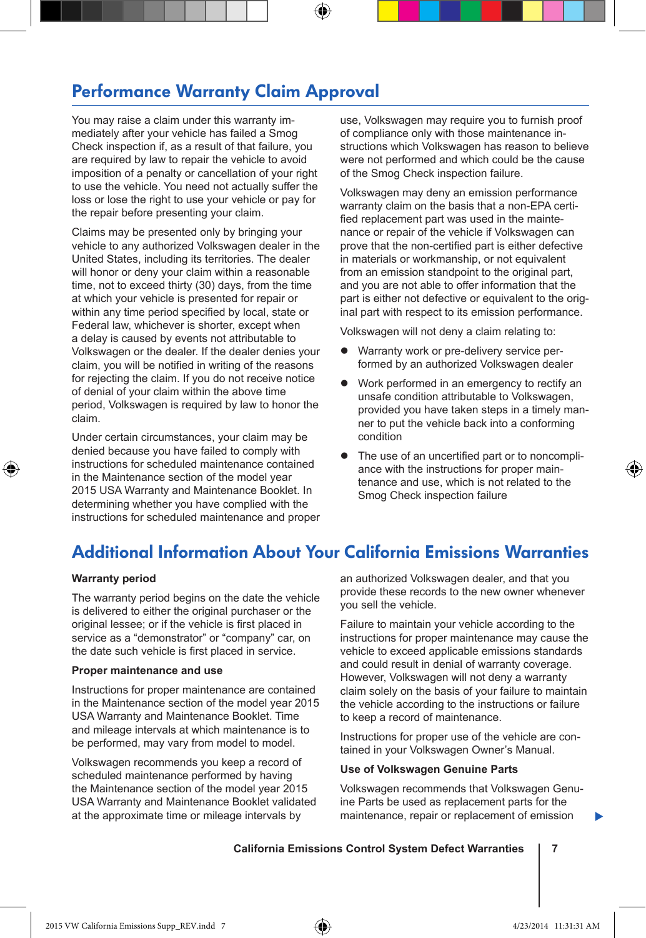### Performance Warranty Claim Approval

You may raise a claim under this warranty immediately after your vehicle has failed a Smog Check inspection if, as a result of that failure, you are required by law to repair the vehicle to avoid imposition of a penalty or cancellation of your right to use the vehicle. You need not actually suffer the loss or lose the right to use your vehicle or pay for the repair before presenting your claim.

Claims may be presented only by bringing your vehicle to any authorized Volkswagen dealer in the United States, including its territories. The dealer will honor or deny your claim within a reasonable time, not to exceed thirty (30) days, from the time at which your vehicle is presented for repair or within any time period specified by local, state or Federal law, whichever is shorter, except when a delay is caused by events not attributable to Volkswagen or the dealer. If the dealer denies your claim, you will be notified in writing of the reasons for rejecting the claim. If you do not receive notice of denial of your claim within the above time period, Volkswagen is required by law to honor the claim.

Under certain circumstances, your claim may be denied because you have failed to comply with instructions for scheduled maintenance contained in the Maintenance section of the model year 2015 USA Warranty and Maintenance Booklet. In determining whether you have complied with the instructions for scheduled maintenance and proper use, Volkswagen may require you to furnish proof of compliance only with those maintenance instructions which Volkswagen has reason to believe were not performed and which could be the cause of the Smog Check inspection failure.

Volkswagen may deny an emission performance warranty claim on the basis that a non-EPA certified replacement part was used in the maintenance or repair of the vehicle if Volkswagen can prove that the non-certified part is either defective in materials or workmanship, or not equivalent from an emission standpoint to the original part, and you are not able to offer information that the part is either not defective or equivalent to the original part with respect to its emission performance.

Volkswagen will not deny a claim relating to:

- Warranty work or pre-delivery service performed by an authorized Volkswagen dealer
- Work performed in an emergency to rectify an unsafe condition attributable to Volkswagen, provided you have taken steps in a timely manner to put the vehicle back into a conforming condition
- The use of an uncertified part or to noncompliance with the instructions for proper maintenance and use, which is not related to the Smog Check inspection failure

### Additional Information About Your California Emissions Warranties

#### **Warranty period**

⊕

The warranty period begins on the date the vehicle is delivered to either the original purchaser or the original lessee; or if the vehicle is first placed in service as a "demonstrator" or "company" car, on the date such vehicle is first placed in service.

#### **Proper maintenance and use**

Instructions for proper maintenance are contained in the Maintenance section of the model year 2015 USA Warranty and Maintenance Booklet. Time and mileage intervals at which maintenance is to be performed, may vary from model to model.

Volkswagen recommends you keep a record of scheduled maintenance performed by having the Maintenance section of the model year 2015 USA Warranty and Maintenance Booklet validated at the approximate time or mileage intervals by

an authorized Volkswagen dealer, and that you provide these records to the new owner whenever you sell the vehicle.

Failure to maintain your vehicle according to the instructions for proper maintenance may cause the vehicle to exceed applicable emissions standards and could result in denial of warranty coverage. However, Volkswagen will not deny a warranty claim solely on the basis of your failure to maintain the vehicle according to the instructions or failure to keep a record of maintenance.

Instructions for proper use of the vehicle are contained in your Volkswagen Owner's Manual.

#### **Use of Volkswagen Genuine Parts**

Volkswagen recommends that Volkswagen Genuine Parts be used as replacement parts for the maintenance, repair or replacement of emission

**California Emissions Control System Defect Warranties 7**

▶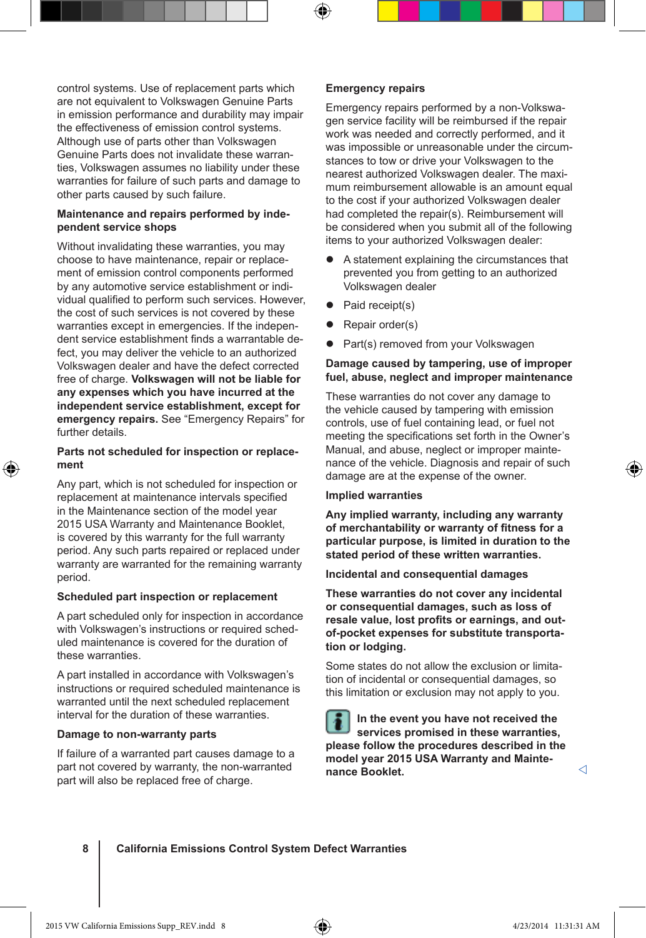control systems. Use of replacement parts which are not equivalent to Volkswagen Genuine Parts in emission performance and durability may impair the effectiveness of emission control systems. Although use of parts other than Volkswagen Genuine Parts does not invalidate these warranties, Volkswagen assumes no liability under these warranties for failure of such parts and damage to other parts caused by such failure.

### **Maintenance and repairs performed by independent service shops**

Without invalidating these warranties, you may choose to have maintenance, repair or replacement of emission control components performed by any automotive service establishment or individual qualified to perform such services. However, the cost of such services is not covered by these warranties except in emergencies. If the independent service establishment finds a warrantable defect, you may deliver the vehicle to an authorized Volkswagen dealer and have the defect corrected free of charge. **Volkswagen will not be liable for any expenses which you have incurred at the independent service establishment, except for emergency repairs.** See "Emergency Repairs" for further details.

### **Parts not scheduled for inspection or replacement**

Any part, which is not scheduled for inspection or replacement at maintenance intervals specified in the Maintenance section of the model year 2015 USA Warranty and Maintenance Booklet, is covered by this warranty for the full warranty period. Any such parts repaired or replaced under warranty are warranted for the remaining warranty period.

### **Scheduled part inspection or replacement**

A part scheduled only for inspection in accordance with Volkswagen's instructions or required scheduled maintenance is covered for the duration of these warranties.

A part installed in accordance with Volkswagen's instructions or required scheduled maintenance is warranted until the next scheduled replacement interval for the duration of these warranties.

#### **Damage to non-warranty parts**

If failure of a warranted part causes damage to a part not covered by warranty, the non-warranted part will also be replaced free of charge.

#### **Emergency repairs**

Emergency repairs performed by a non-Volkswagen service facility will be reimbursed if the repair work was needed and correctly performed, and it was impossible or unreasonable under the circumstances to tow or drive your Volkswagen to the nearest authorized Volkswagen dealer. The maximum reimbursement allowable is an amount equal to the cost if your authorized Volkswagen dealer had completed the repair(s). Reimbursement will be considered when you submit all of the following items to your authorized Volkswagen dealer:

- A statement explaining the circumstances that prevented you from getting to an authorized Volkswagen dealer
- $\bullet$  Paid receipt(s)
- Repair order(s)
- Part(s) removed from your Volkswagen

### **Damage caused by tampering, use of improper fuel, abuse, neglect and improper maintenance**

These warranties do not cover any damage to the vehicle caused by tampering with emission controls, use of fuel containing lead, or fuel not meeting the specifications set forth in the Owner's Manual, and abuse, neglect or improper maintenance of the vehicle. Diagnosis and repair of such damage are at the expense of the owner.

#### **Implied warranties**

**Any implied warranty, including any warranty of merchantability or warranty of fitness for a particular purpose, is limited in duration to the stated period of these written warranties.**

**Incidental and consequential damages**

**These warranties do not cover any incidental or consequential damages, such as loss of resale value, lost profits or earnings, and outof-pocket expenses for substitute transportation or lodging.**

Some states do not allow the exclusion or limitation of incidental or consequential damages, so this limitation or exclusion may not apply to you.

**In the event you have not received the services promised in these warranties, please follow the procedures described in the model year 2015 USA Warranty and Maintenance Booklet.**

### **8 California Emissions Control System Defect Warranties**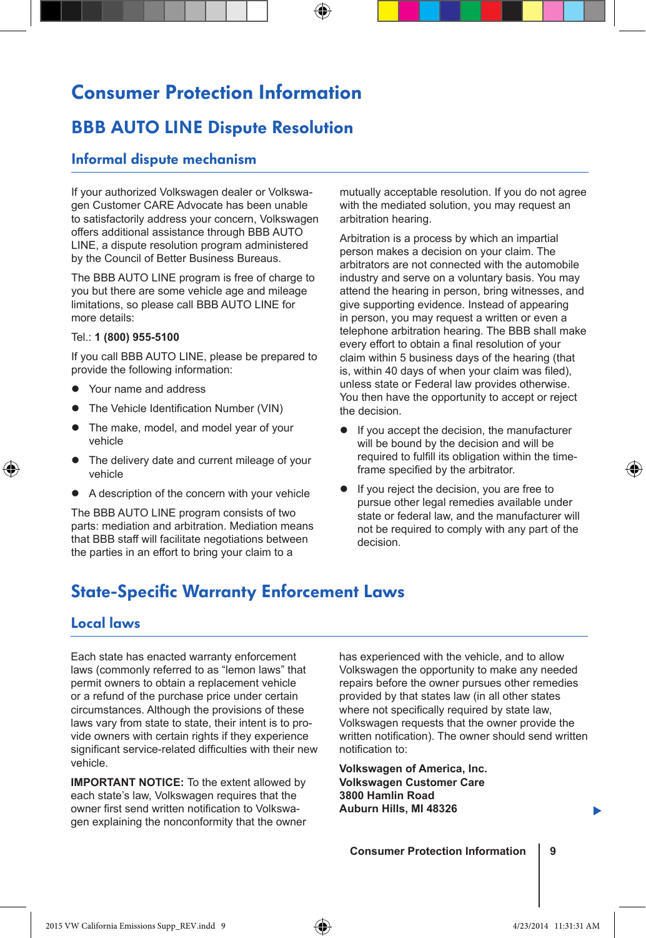# Consumer Protection Information

⊕

### BBB AUTO LINE Dispute Resolution

### Informal dispute mechanism

If your authorized Volkswagen dealer or Volkswagen Customer CARE Advocate has been unable to satisfactorily address your concern, Volkswagen offers additional assistance through BBB AUTO LINE, a dispute resolution program administered by the Council of Better Business Bureaus.

The BBB AUTO LINE program is free of charge to you but there are some vehicle age and mileage limitations, so please call BBB AUTO LINE for more details:

#### Tel.: **1 (800) 955-5100**

If you call BBB AUTO LINE, please be prepared to provide the following information:

- Your name and address
- The Vehicle Identification Number (VIN)
- The make, model, and model year of your vehicle
- The delivery date and current mileage of your vehicle
- A description of the concern with your vehicle

The BBB AUTO LINE program consists of two parts: mediation and arbitration. Mediation means that BBB staff will facilitate negotiations between the parties in an effort to bring your claim to a

mutually acceptable resolution. If you do not agree with the mediated solution, you may request an arbitration hearing.

Arbitration is a process by which an impartial person makes a decision on your claim. The arbitrators are not connected with the automobile industry and serve on a voluntary basis. You may attend the hearing in person, bring witnesses, and give supporting evidence. Instead of appearing in person, you may request a written or even a telephone arbitration hearing. The BBB shall make every effort to obtain a final resolution of your claim within 5 business days of the hearing (that is, within 40 days of when your claim was filed), unless state or Federal law provides otherwise. You then have the opportunity to accept or reject the decision.

- If you accept the decision, the manufacturer will be bound by the decision and will be required to fulfill its obligation within the timeframe specified by the arbitrator.
- If you reject the decision, you are free to pursue other legal remedies available under state or federal law, and the manufacturer will not be required to comply with any part of the decision.

### State-Specific Warranty Enforcement Laws

### Local laws

⊕

Each state has enacted warranty enforcement laws (commonly referred to as "lemon laws" that permit owners to obtain a replacement vehicle or a refund of the purchase price under certain circumstances. Although the provisions of these laws vary from state to state, their intent is to provide owners with certain rights if they experience significant service-related difficulties with their new vehicle.

**IMPORTANT NOTICE:** To the extent allowed by each state's law, Volkswagen requires that the owner first send written notification to Volkswagen explaining the nonconformity that the owner

has experienced with the vehicle, and to allow Volkswagen the opportunity to make any needed repairs before the owner pursues other remedies provided by that states law (in all other states where not specifically required by state law. Volkswagen requests that the owner provide the written notification). The owner should send written notification to:

**Volkswagen of America, Inc. Volkswagen Customer Care 3800 Hamlin Road Auburn Hills, MI 48326**

**Consumer Protection Information | 9**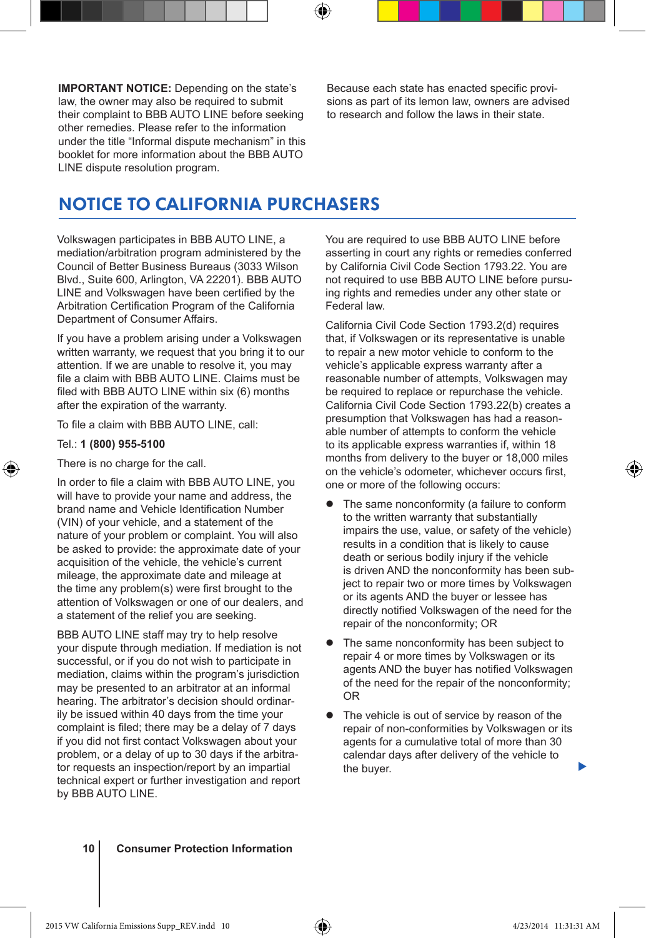**IMPORTANT NOTICE:** Depending on the state's law, the owner may also be required to submit their complaint to BBB AUTO LINE before seeking other remedies. Please refer to the information under the title "Informal dispute mechanism" in this booklet for more information about the BBB AUTO LINE dispute resolution program.

Because each state has enacted specific provisions as part of its lemon law, owners are advised to research and follow the laws in their state.

### NOTICE TO CALIFORNIA PURCHASERS

Volkswagen participates in BBB AUTO LINE, a mediation/arbitration program administered by the Council of Better Business Bureaus (3033 Wilson Blvd., Suite 600, Arlington, VA 22201). BBB AUTO LINE and Volkswagen have been certified by the Arbitration Certification Program of the California Department of Consumer Affairs.

If you have a problem arising under a Volkswagen written warranty, we request that you bring it to our attention. If we are unable to resolve it, you may file a claim with BBB AUTO LINE. Claims must be filed with BBB AUTO LINE within six (6) months after the expiration of the warranty.

To file a claim with BBB AUTO LINE, call:

#### Tel.: **1 (800) 955-5100**

⊕

There is no charge for the call.

In order to file a claim with BBB AUTO LINE, you will have to provide your name and address, the brand name and Vehicle Identification Number (VIN) of your vehicle, and a statement of the nature of your problem or complaint. You will also be asked to provide: the approximate date of your acquisition of the vehicle, the vehicle's current mileage, the approximate date and mileage at the time any problem(s) were first brought to the attention of Volkswagen or one of our dealers, and a statement of the relief you are seeking.

BBB AUTO LINE staff may try to help resolve your dispute through mediation. If mediation is not successful, or if you do not wish to participate in mediation, claims within the program's jurisdiction may be presented to an arbitrator at an informal hearing. The arbitrator's decision should ordinarily be issued within 40 days from the time your complaint is filed; there may be a delay of 7 days if you did not first contact Volkswagen about your problem, or a delay of up to 30 days if the arbitrator requests an inspection/report by an impartial technical expert or further investigation and report by BBB AUTO LINE.

You are required to use BBB AUTO LINE before asserting in court any rights or remedies conferred by California Civil Code Section 1793.22. You are not required to use BBB AUTO LINE before pursuing rights and remedies under any other state or Federal law.

California Civil Code Section 1793.2(d) requires that, if Volkswagen or its representative is unable to repair a new motor vehicle to conform to the vehicle's applicable express warranty after a reasonable number of attempts, Volkswagen may be required to replace or repurchase the vehicle. California Civil Code Section 1793.22(b) creates a presumption that Volkswagen has had a reasonable number of attempts to conform the vehicle to its applicable express warranties if, within 18 months from delivery to the buyer or 18,000 miles on the vehicle's odometer, whichever occurs first, one or more of the following occurs:

- The same nonconformity (a failure to conform to the written warranty that substantially impairs the use, value, or safety of the vehicle) results in a condition that is likely to cause death or serious bodily injury if the vehicle is driven AND the nonconformity has been subject to repair two or more times by Volkswagen or its agents AND the buyer or lessee has directly notified Volkswagen of the need for the repair of the nonconformity; OR
- The same nonconformity has been subject to repair 4 or more times by Volkswagen or its agents AND the buyer has notified Volkswagen of the need for the repair of the nonconformity; OR
- The vehicle is out of service by reason of the repair of non-conformities by Volkswagen or its agents for a cumulative total of more than 30 calendar days after delivery of the vehicle to the buyer.

**10 Consumer Protection Information**

▶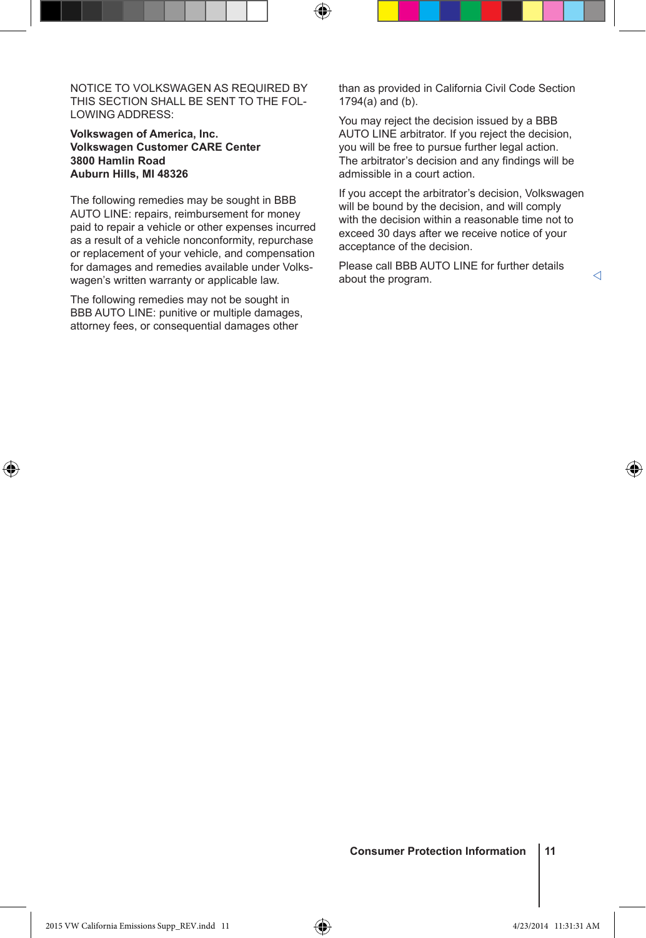NOTICE TO VOLKSWAGEN AS REQUIRED BY THIS SECTION SHALL BE SENT TO THE FOL-LOWING ADDRESS:

⊕

### **Volkswagen of America, Inc. Volkswagen Customer CARE Center 3800 Hamlin Road Auburn Hills, MI 48326**

The following remedies may be sought in BBB AUTO LINE: repairs, reimbursement for money paid to repair a vehicle or other expenses incurred as a result of a vehicle nonconformity, repurchase or replacement of your vehicle, and compensation for damages and remedies available under Volkswagen's written warranty or applicable law.

The following remedies may not be sought in BBB AUTO LINE: punitive or multiple damages, attorney fees, or consequential damages other

⊕

than as provided in California Civil Code Section 1794(a) and (b).

You may reject the decision issued by a BBB AUTO LINE arbitrator. If you reject the decision, you will be free to pursue further legal action. The arbitrator's decision and any findings will be admissible in a court action.

If you accept the arbitrator's decision, Volkswagen will be bound by the decision, and will comply with the decision within a reasonable time not to exceed 30 days after we receive notice of your acceptance of the decision.

Please call BBB AUTO LINE for further details about the program.